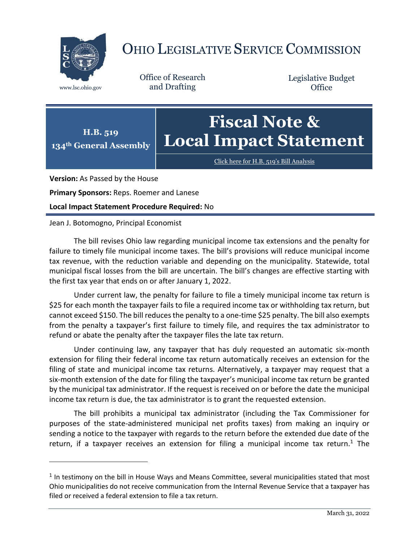

## OHIO LEGISLATIVE SERVICE COMMISSION

Office of Research www.lsc.ohio.gov and Drafting

Legislative Budget **Office** 



[Click here for H.B. 519](https://www.legislature.ohio.gov/legislation/legislation-documents?id=GA134-HB-519)'s Bill Analysis

**Version:** As Passed by the House

 $\overline{a}$ 

**Primary Sponsors:** Reps. Roemer and Lanese

**Local Impact Statement Procedure Required:** No

## Jean J. Botomogno, Principal Economist

The bill revises Ohio law regarding municipal income tax extensions and the penalty for failure to timely file municipal income taxes. The bill's provisions will reduce municipal income tax revenue, with the reduction variable and depending on the municipality. Statewide, total municipal fiscal losses from the bill are uncertain. The bill's changes are effective starting with the first tax year that ends on or after January 1, 2022.

Under current law, the penalty for failure to file a timely municipal income tax return is \$25 for each month the taxpayer fails to file a required income tax or withholding tax return, but cannot exceed \$150. The bill reduces the penalty to a one-time \$25 penalty. The bill also exempts from the penalty a taxpayer's first failure to timely file, and requires the tax administrator to refund or abate the penalty after the taxpayer files the late tax return.

Under continuing law, any taxpayer that has duly requested an automatic six-month extension for filing their federal income tax return automatically receives an extension for the filing of state and municipal income tax returns. Alternatively, a taxpayer may request that a six-month extension of the date for filing the taxpayer's municipal income tax return be granted by the municipal tax administrator. If the request is received on or before the date the municipal income tax return is due, the tax administrator is to grant the requested extension.

The bill prohibits a municipal tax administrator (including the Tax Commissioner for purposes of the state-administered municipal net profits taxes) from making an inquiry or sending a notice to the taxpayer with regards to the return before the extended due date of the return, if a taxpayer receives an extension for filing a municipal income tax return.<sup>1</sup> The

 $<sup>1</sup>$  In testimony on the bill in House Ways and Means Committee, several municipalities stated that most</sup> Ohio municipalities do not receive communication from the Internal Revenue Service that a taxpayer has filed or received a federal extension to file a tax return.